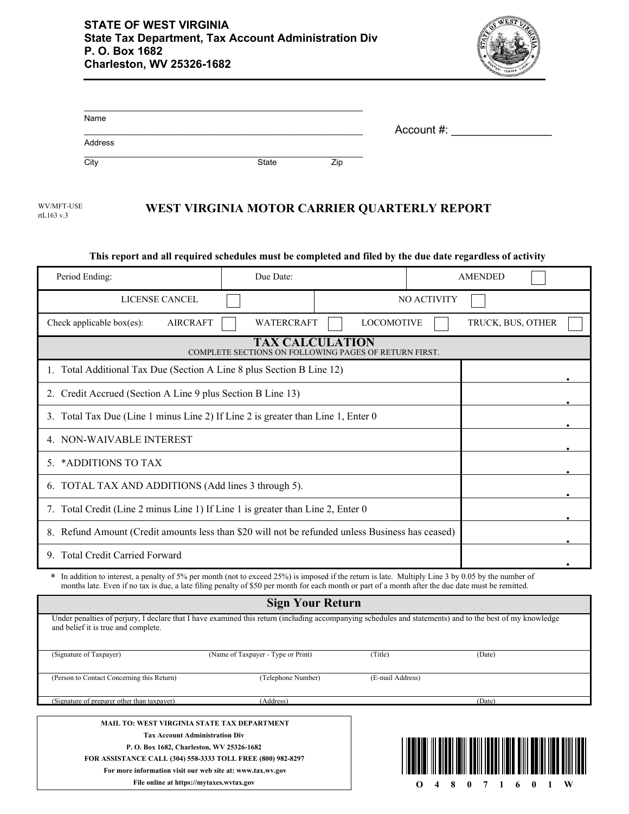

| Name    |       |            |  |
|---------|-------|------------|--|
|         |       | Account #: |  |
| Address |       |            |  |
| City    | State | Zip        |  |

WV/MFT-USE rtL163 v.3 **WEST VIRGINIA MOTOR CARRIER QUARTERLY REPORT**

| This report and all required schedules must be completed and filed by the due date regardless of activity                                                                                                                                                                                                 |                                    |                         |                   |  |  |  |
|-----------------------------------------------------------------------------------------------------------------------------------------------------------------------------------------------------------------------------------------------------------------------------------------------------------|------------------------------------|-------------------------|-------------------|--|--|--|
| Period Ending:                                                                                                                                                                                                                                                                                            | Due Date:                          |                         | <b>AMENDED</b>    |  |  |  |
| LICENSE CANCEL                                                                                                                                                                                                                                                                                            |                                    | NO ACTIVITY             |                   |  |  |  |
| <b>AIRCRAFT</b><br>Check applicable box $(es)$ :                                                                                                                                                                                                                                                          | <b>WATERCRAFT</b>                  | <b>LOCOMOTIVE</b>       | TRUCK, BUS, OTHER |  |  |  |
| <b>TAX CALCULATION</b><br>COMPLETE SECTIONS ON FOLLOWING PAGES OF RETURN FIRST.                                                                                                                                                                                                                           |                                    |                         |                   |  |  |  |
| 1. Total Additional Tax Due (Section A Line 8 plus Section B Line 12)                                                                                                                                                                                                                                     |                                    |                         |                   |  |  |  |
| 2. Credit Accrued (Section A Line 9 plus Section B Line 13)                                                                                                                                                                                                                                               |                                    |                         |                   |  |  |  |
| 3. Total Tax Due (Line 1 minus Line 2) If Line 2 is greater than Line 1, Enter 0                                                                                                                                                                                                                          |                                    |                         |                   |  |  |  |
| 4. NON-WAIVABLE INTEREST                                                                                                                                                                                                                                                                                  |                                    |                         |                   |  |  |  |
| *ADDITIONS TO TAX<br>5.                                                                                                                                                                                                                                                                                   |                                    |                         |                   |  |  |  |
| 6. TOTAL TAX AND ADDITIONS (Add lines 3 through 5).                                                                                                                                                                                                                                                       |                                    |                         |                   |  |  |  |
| 7. Total Credit (Line 2 minus Line 1) If Line 1 is greater than Line 2, Enter 0                                                                                                                                                                                                                           |                                    |                         |                   |  |  |  |
| 8. Refund Amount (Credit amounts less than \$20 will not be refunded unless Business has ceased)                                                                                                                                                                                                          |                                    |                         |                   |  |  |  |
| 9. Total Credit Carried Forward                                                                                                                                                                                                                                                                           |                                    |                         |                   |  |  |  |
| * In addition to interest, a penalty of 5% per month (not to exceed 25%) is imposed if the return is late. Multiply Line 3 by 0.05 by the number of<br>months late. Even if no tax is due, a late filing penalty of \$50 per month for each month or part of a month after the due date must be remitted. |                                    |                         |                   |  |  |  |
|                                                                                                                                                                                                                                                                                                           |                                    | <b>Sign Your Return</b> |                   |  |  |  |
| Under penalties of perjury, I declare that I have examined this return (including accompanying schedules and statements) and to the best of my knowledge<br>and belief it is true and complete.                                                                                                           |                                    |                         |                   |  |  |  |
| (Signature of Taxpayer)                                                                                                                                                                                                                                                                                   | (Name of Taxpayer - Type or Print) | (Title)                 | (Date)            |  |  |  |

| and belief it is true and complete.                                                                                                               |                                                    |                  |        |  |
|---------------------------------------------------------------------------------------------------------------------------------------------------|----------------------------------------------------|------------------|--------|--|
| (Signature of Taxpayer)                                                                                                                           | (Name of Taxpayer - Type or Print)                 | (Title)          | (Date) |  |
| (Person to Contact Concerning this Return)                                                                                                        | (Telephone Number)                                 | (E-mail Address) |        |  |
| (Signature of preparer other than taxpayer)                                                                                                       | (Address)                                          |                  | (Date) |  |
|                                                                                                                                                   | <b>MAIL TO: WEST VIRGINIA STATE TAX DEPARTMENT</b> |                  |        |  |
| <b>Tax Account Administration Div</b><br>P. O. Box 1682, Charleston, WV 25326-1682<br>FOR ASSISTANCE CALL (304) 558-3333 TOLL FREE (800) 982-8297 |                                                    |                  |        |  |
|                                                                                                                                                   |                                                    |                  |        |  |
|                                                                                                                                                   |                                                    |                  |        |  |
| For more information visit our web site at: www.tax.wv.gov                                                                                        |                                                    |                  |        |  |
|                                                                                                                                                   | File online at https://mytaxes.wvtax.gov           |                  | W<br>Л |  |